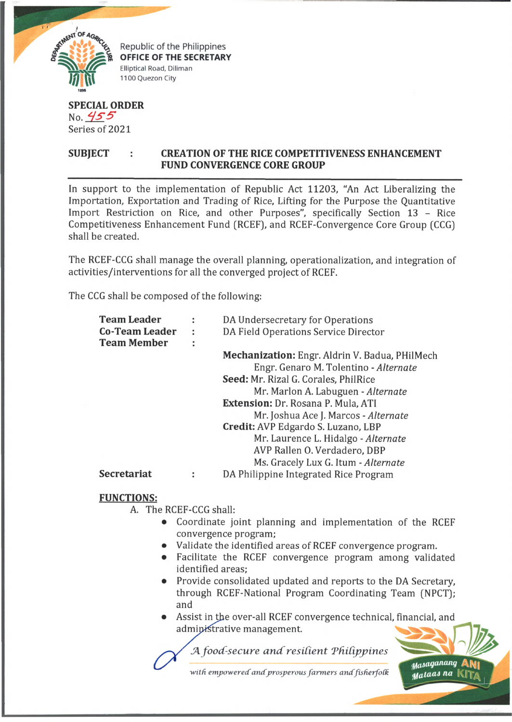

Republic of the Philippines OFFICE OF THE SECRETARY Elliptical Road, Diliman 1100 Quezon City

## **SPECIAL ORDER** No.  $455$ Series of 2021

## **SUBJECT : CREATION OF THE RICE COMPETITIVENESS ENHANCEMENT FUND CONVERGENCE CORE GROUP**

In support to the implementation of Republic Act 11203, "An Act Liberalizing the Importation, Exportation and Trading of Rice, Lifting for the Purpose the Quantitative Import Restriction on Rice, and other Purposes", specifically Section 13 - Rice Competitiveness Enhancement Fund (RCEF), and RCEF-Convergence Core Group (CCG) shall be created.

The RCEF-CCG shall manage the overall planning, operationalization, and integration of activities/interventions for all the converged project of RCEF.

The CCG shall be composed of the following:

|   | DA Undersecretary for Operations                      |
|---|-------------------------------------------------------|
| ÷ | DA Field Operations Service Director                  |
| ٠ |                                                       |
|   | <b>Mechanization:</b> Engr. Aldrin V. Badua, PHilMech |
|   | Engr. Genaro M. Tolentino - Alternate                 |
|   | Seed: Mr. Rizal G. Corales, PhilRice                  |
|   | Mr. Marlon A. Labuguen - Alternate                    |
|   | <b>Extension: Dr. Rosana P. Mula, ATI</b>             |
|   | Mr. Joshua Ace J. Marcos - Alternate                  |
|   | <b>Credit:</b> AVP Edgardo S. Luzano, LBP             |
|   | Mr. Laurence L. Hidalgo - Alternate                   |
|   | AVP Rallen O. Verdadero, DBP                          |
|   | Ms. Gracely Lux G. Itum - Alternate                   |
|   | DA Philippine Integrated Rice Program                 |
|   |                                                       |

## **FUNCTIONS:**

A. The RCEF-CCG shall:

- Coordinate joint planning and implementation of the RCEF convergence program;
- Validate the identified areas of RCEF convergence program.
- Facilitate the RCEF convergence program among validated identified areas;
- Provide consolidated updated and reports to the DA Secretary,  $\bullet$ through RCEF-National Program Coordinating Team (NPCT); and
- Assist in the over-all RCEF convergence technical, financial, and administrative management.

*tfasti'/anun<l* Aty I *MalaaJ na*

**JA** *foocC-secure a n d resident T hidp pin es*

with empowered and prosperous farmers and fisherfolk